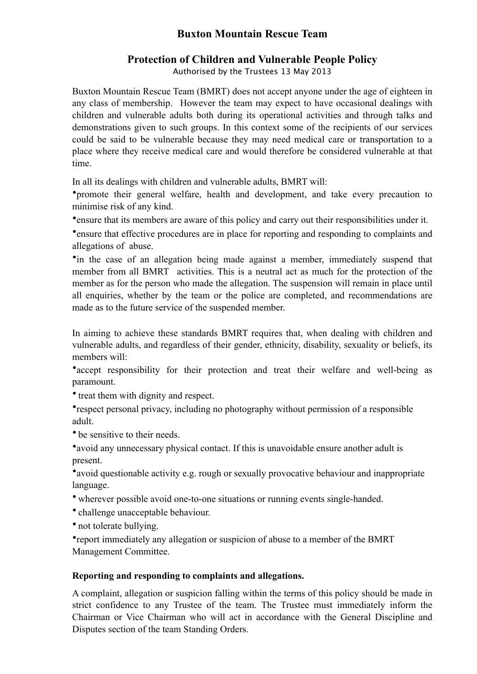## **Buxton Mountain Rescue Team**

## **Protection of Children and Vulnerable People Policy**

Authorised by the Trustees 13 May 2013

Buxton Mountain Rescue Team (BMRT) does not accept anyone under the age of eighteen in any class of membership. However the team may expect to have occasional dealings with children and vulnerable adults both during its operational activities and through talks and demonstrations given to such groups. In this context some of the recipients of our services could be said to be vulnerable because they may need medical care or transportation to a place where they receive medical care and would therefore be considered vulnerable at that time.

In all its dealings with children and vulnerable adults, BMRT will:

•promote their general welfare, health and development, and take every precaution to minimise risk of any kind.

•ensure that its members are aware of this policy and carry out their responsibilities under it.

•ensure that effective procedures are in place for reporting and responding to complaints and allegations of abuse.

•in the case of an allegation being made against a member, immediately suspend that member from all BMRT activities. This is a neutral act as much for the protection of the member as for the person who made the allegation. The suspension will remain in place until all enquiries, whether by the team or the police are completed, and recommendations are made as to the future service of the suspended member.

In aiming to achieve these standards BMRT requires that, when dealing with children and vulnerable adults, and regardless of their gender, ethnicity, disability, sexuality or beliefs, its members will:

•accept responsibility for their protection and treat their welfare and well-being as paramount.

• treat them with dignity and respect.

•respect personal privacy, including no photography without permission of a responsible adult.

• be sensitive to their needs.

•avoid any unnecessary physical contact. If this is unavoidable ensure another adult is present.

•avoid questionable activity e.g. rough or sexually provocative behaviour and inappropriate language.

• wherever possible avoid one-to-one situations or running events single-handed.

• challenge unacceptable behaviour.

• not tolerate bullying.

•report immediately any allegation or suspicion of abuse to a member of the BMRT Management Committee.

## **Reporting and responding to complaints and allegations.**

A complaint, allegation or suspicion falling within the terms of this policy should be made in strict confidence to any Trustee of the team. The Trustee must immediately inform the Chairman or Vice Chairman who will act in accordance with the General Discipline and Disputes section of the team [Standing Orders](http://www.bmrt.org.uk/handbook2011/2.3).